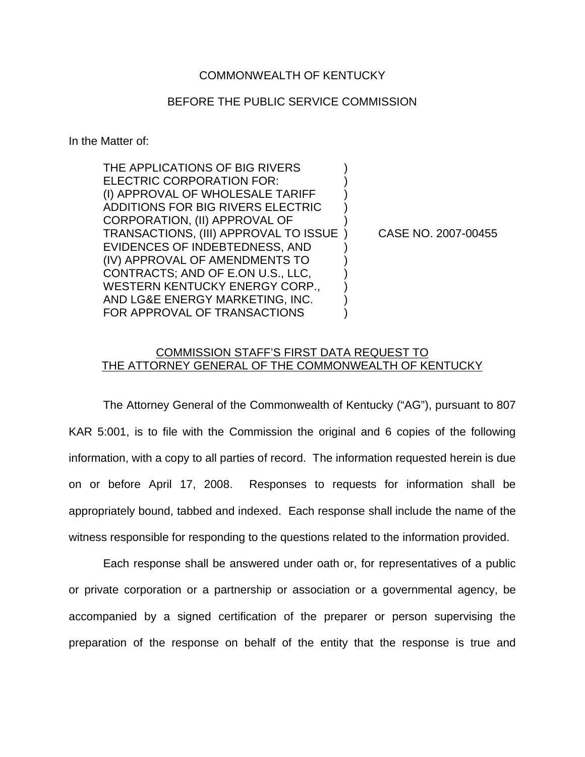## COMMONWEALTH OF KENTUCKY

## BEFORE THE PUBLIC SERVICE COMMISSION

In the Matter of:

THE APPLICATIONS OF BIG RIVERS ELECTRIC CORPORATION FOR: (I) APPROVAL OF WHOLESALE TARIFF ) ADDITIONS FOR BIG RIVERS ELECTRIC ) CORPORATION, (II) APPROVAL OF ) TRANSACTIONS, (III) APPROVAL TO ISSUE ) CASE NO. 2007-00455 EVIDENCES OF INDEBTEDNESS, AND ) (IV) APPROVAL OF AMENDMENTS TO ) CONTRACTS; AND OF E.ON U.S., LLC, ) WESTERN KENTUCKY ENERGY CORP., AND LG&E ENERGY MARKETING, INC. ) FOR APPROVAL OF TRANSACTIONS

## COMMISSION STAFF'S FIRST DATA REQUEST TO THE ATTORNEY GENERAL OF THE COMMONWEALTH OF KENTUCKY

The Attorney General of the Commonwealth of Kentucky ("AG"), pursuant to 807 KAR 5:001, is to file with the Commission the original and 6 copies of the following information, with a copy to all parties of record. The information requested herein is due on or before April 17, 2008. Responses to requests for information shall be appropriately bound, tabbed and indexed. Each response shall include the name of the witness responsible for responding to the questions related to the information provided.

Each response shall be answered under oath or, for representatives of a public or private corporation or a partnership or association or a governmental agency, be accompanied by a signed certification of the preparer or person supervising the preparation of the response on behalf of the entity that the response is true and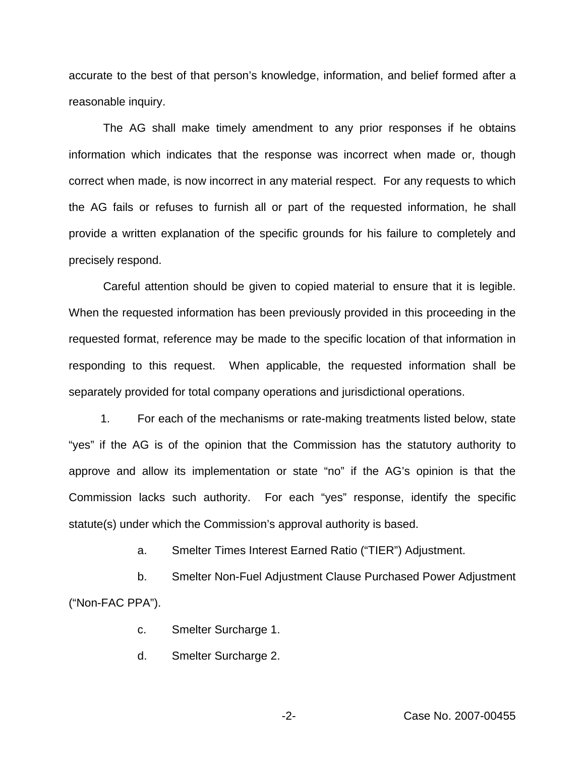accurate to the best of that person's knowledge, information, and belief formed after a reasonable inquiry.

The AG shall make timely amendment to any prior responses if he obtains information which indicates that the response was incorrect when made or, though correct when made, is now incorrect in any material respect. For any requests to which the AG fails or refuses to furnish all or part of the requested information, he shall provide a written explanation of the specific grounds for his failure to completely and precisely respond.

Careful attention should be given to copied material to ensure that it is legible. When the requested information has been previously provided in this proceeding in the requested format, reference may be made to the specific location of that information in responding to this request. When applicable, the requested information shall be separately provided for total company operations and jurisdictional operations.

1. For each of the mechanisms or rate-making treatments listed below, state "yes" if the AG is of the opinion that the Commission has the statutory authority to approve and allow its implementation or state "no" if the AG's opinion is that the Commission lacks such authority. For each "yes" response, identify the specific statute(s) under which the Commission's approval authority is based.

a. Smelter Times Interest Earned Ratio ("TIER") Adjustment.

b. Smelter Non-Fuel Adjustment Clause Purchased Power Adjustment ("Non-FAC PPA").

c. Smelter Surcharge 1.

d. Smelter Surcharge 2.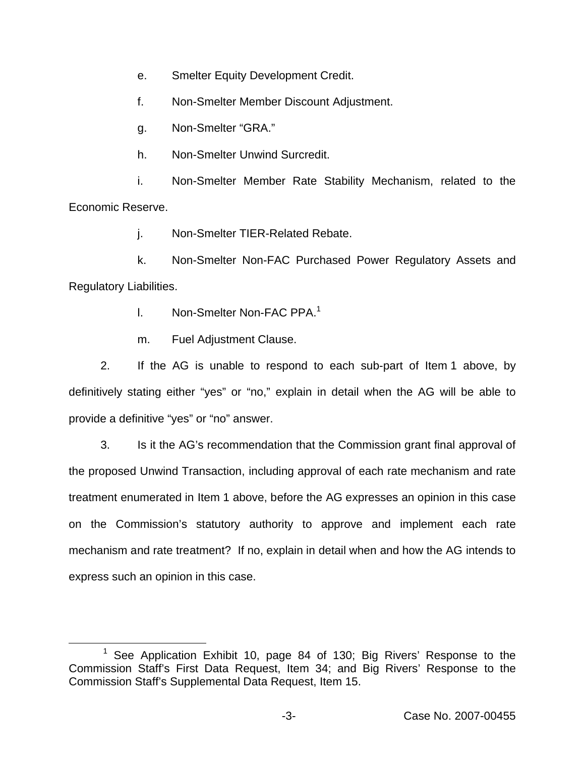e. Smelter Equity Development Credit.

f. Non-Smelter Member Discount Adjustment.

g. Non-Smelter "GRA."

h. Non-Smelter Unwind Surcredit.

i. Non-Smelter Member Rate Stability Mechanism, related to the Economic Reserve.

j. Non-Smelter TIER-Related Rebate.

k. Non-Smelter Non-FAC Purchased Power Regulatory Assets and Regulatory Liabilities.

l. Non-Smelter Non-FAC PPA.<sup>1</sup>

m. Fuel Adjustment Clause.

2. If the AG is unable to respond to each sub-part of Item 1 above, by definitively stating either "yes" or "no," explain in detail when the AG will be able to provide a definitive "yes" or "no" answer.

3. Is it the AG's recommendation that the Commission grant final approval of the proposed Unwind Transaction, including approval of each rate mechanism and rate treatment enumerated in Item 1 above, before the AG expresses an opinion in this case on the Commission's statutory authority to approve and implement each rate mechanism and rate treatment? If no, explain in detail when and how the AG intends to express such an opinion in this case.

See Application Exhibit 10, page 84 of 130; Big Rivers' Response to the Commission Staff's First Data Request, Item 34; and Big Rivers' Response to the Commission Staff's Supplemental Data Request, Item 15.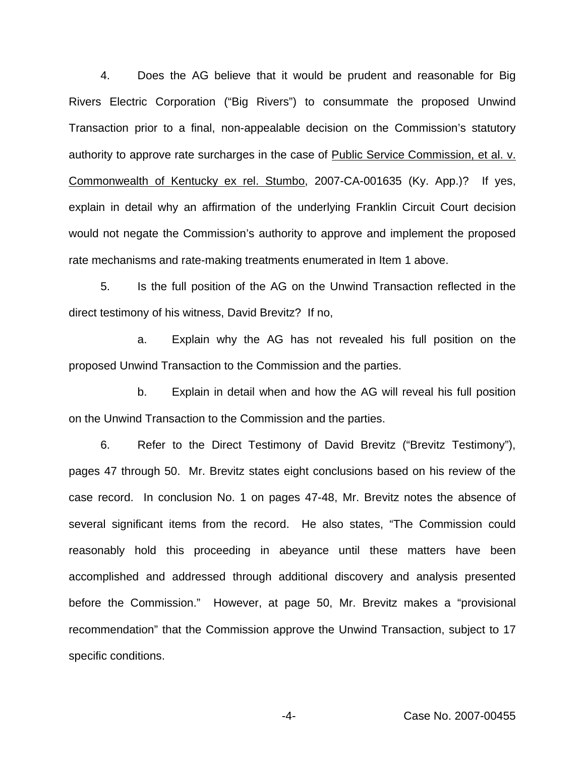4. Does the AG believe that it would be prudent and reasonable for Big Rivers Electric Corporation ("Big Rivers") to consummate the proposed Unwind Transaction prior to a final, non-appealable decision on the Commission's statutory authority to approve rate surcharges in the case of Public Service Commission, et al. v. Commonwealth of Kentucky ex rel. Stumbo, 2007-CA-001635 (Ky. App.)? If yes, explain in detail why an affirmation of the underlying Franklin Circuit Court decision would not negate the Commission's authority to approve and implement the proposed rate mechanisms and rate-making treatments enumerated in Item 1 above.

5. Is the full position of the AG on the Unwind Transaction reflected in the direct testimony of his witness, David Brevitz? If no,

a. Explain why the AG has not revealed his full position on the proposed Unwind Transaction to the Commission and the parties.

b. Explain in detail when and how the AG will reveal his full position on the Unwind Transaction to the Commission and the parties.

6. Refer to the Direct Testimony of David Brevitz ("Brevitz Testimony"), pages 47 through 50. Mr. Brevitz states eight conclusions based on his review of the case record. In conclusion No. 1 on pages 47-48, Mr. Brevitz notes the absence of several significant items from the record. He also states, "The Commission could reasonably hold this proceeding in abeyance until these matters have been accomplished and addressed through additional discovery and analysis presented before the Commission." However, at page 50, Mr. Brevitz makes a "provisional recommendation" that the Commission approve the Unwind Transaction, subject to 17 specific conditions.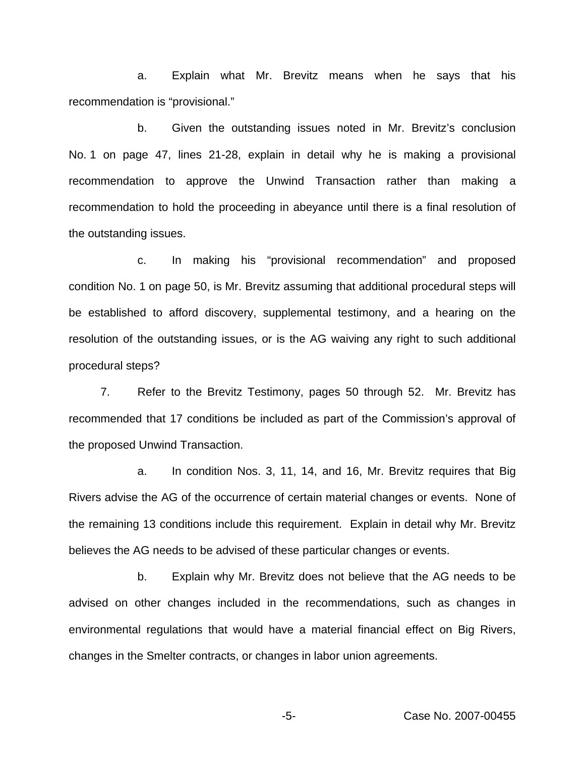a. Explain what Mr. Brevitz means when he says that his recommendation is "provisional."

b. Given the outstanding issues noted in Mr. Brevitz's conclusion No. 1 on page 47, lines 21-28, explain in detail why he is making a provisional recommendation to approve the Unwind Transaction rather than making a recommendation to hold the proceeding in abeyance until there is a final resolution of the outstanding issues.

c. In making his "provisional recommendation" and proposed condition No. 1 on page 50, is Mr. Brevitz assuming that additional procedural steps will be established to afford discovery, supplemental testimony, and a hearing on the resolution of the outstanding issues, or is the AG waiving any right to such additional procedural steps?

7. Refer to the Brevitz Testimony, pages 50 through 52. Mr. Brevitz has recommended that 17 conditions be included as part of the Commission's approval of the proposed Unwind Transaction.

a. In condition Nos. 3, 11, 14, and 16, Mr. Brevitz requires that Big Rivers advise the AG of the occurrence of certain material changes or events. None of the remaining 13 conditions include this requirement. Explain in detail why Mr. Brevitz believes the AG needs to be advised of these particular changes or events.

b. Explain why Mr. Brevitz does not believe that the AG needs to be advised on other changes included in the recommendations, such as changes in environmental regulations that would have a material financial effect on Big Rivers, changes in the Smelter contracts, or changes in labor union agreements.